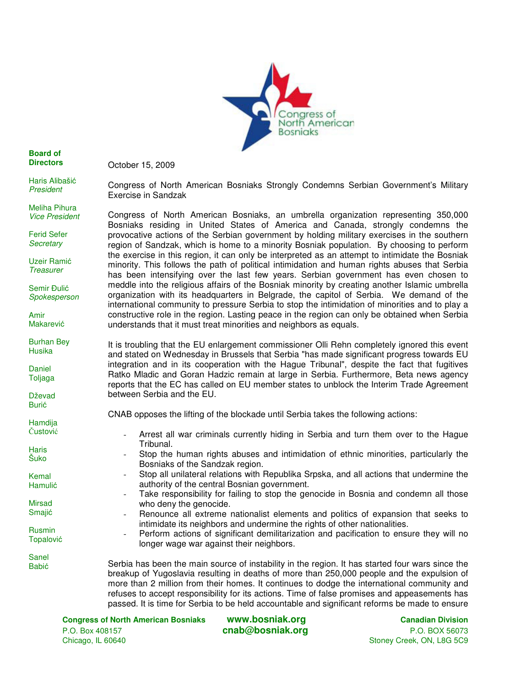

**Board of Directors** 

Haris Alibašić President

Meliha Pihura Vice President

Ferid Sefer **Secretary** 

Uzeir Ramić **Treasurer** 

Semir Đulić Spokesperson

Burhan Bey Husika

Daniel Toljaga

Dževad Burić

Hamdija Čustović

**Haris** Šuko

Kemal Hamulić

Mirsad Smajić

Rusmin Topalović

Sanel Babić

Amir Makarević October 15, 2009

Congress of North American Bosniaks Strongly Condemns Serbian Government's Military Exercise in Sandzak

Congress of North American Bosniaks, an umbrella organization representing 350,000 Bosniaks residing in United States of America and Canada, strongly condemns the provocative actions of the Serbian government by holding military exercises in the southern region of Sandzak, which is home to a minority Bosniak population. By choosing to perform the exercise in this region, it can only be interpreted as an attempt to intimidate the Bosniak minority. This follows the path of political intimidation and human rights abuses that Serbia has been intensifying over the last few years. Serbian government has even chosen to meddle into the religious affairs of the Bosniak minority by creating another Islamic umbrella organization with its headquarters in Belgrade, the capitol of Serbia. We demand of the international community to pressure Serbia to stop the intimidation of minorities and to play a constructive role in the region. Lasting peace in the region can only be obtained when Serbia understands that it must treat minorities and neighbors as equals.

It is troubling that the EU enlargement commissioner Olli Rehn completely ignored this event and stated on Wednesday in Brussels that Serbia "has made significant progress towards EU integration and in its cooperation with the Hague Tribunal", despite the fact that fugitives Ratko Mladic and Goran Hadzic remain at large in Serbia. Furthermore, Beta news agency reports that the EC has called on EU member states to unblock the Interim Trade Agreement between Serbia and the EU.

CNAB opposes the lifting of the blockade until Serbia takes the following actions:

- Arrest all war criminals currently hiding in Serbia and turn them over to the Hague Tribunal.
- Stop the human rights abuses and intimidation of ethnic minorities, particularly the Bosniaks of the Sandzak region.
- Stop all unilateral relations with Republika Srpska, and all actions that undermine the authority of the central Bosnian government.
- Take responsibility for failing to stop the genocide in Bosnia and condemn all those who deny the genocide.
	- Renounce all extreme nationalist elements and politics of expansion that seeks to intimidate its neighbors and undermine the rights of other nationalities.
- Perform actions of significant demilitarization and pacification to ensure they will no longer wage war against their neighbors.

Serbia has been the main source of instability in the region. It has started four wars since the breakup of Yugoslavia resulting in deaths of more than 250,000 people and the expulsion of more than 2 million from their homes. It continues to dodge the international community and refuses to accept responsibility for its actions. Time of false promises and appeasements has passed. It is time for Serbia to be held accountable and significant reforms be made to ensure

**Congress of North American Bosniaks www.bosniak.org Canadian Division** P.O. Box 408157 **cnab@bosniak.org** P.O. BOX 56073 Chicago, IL 60640 Stoney Creek, ON, L8G 5C9